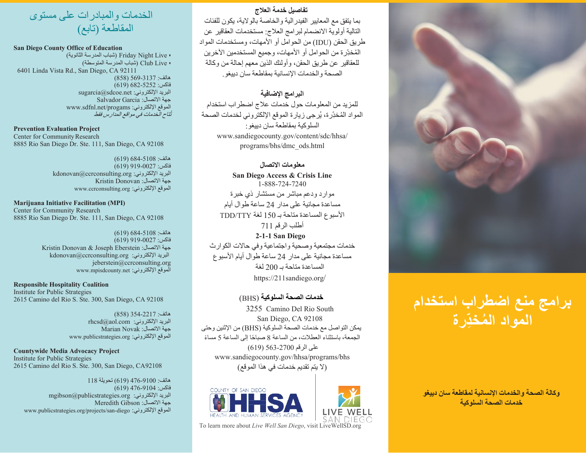# **تفاصیل خدمة العلاج**

بما یتفق مع المعاییر الفیدرالیة والخاصة بالولایة، یكون للفئات التالیة أولویة الانضمام لبرامج العلاج: مستخدمات العقاقیر عن طریق الحقن (IDU (من الحوامل أو الأمھات، ومستخدمات المواد المُخدِّر ة من الحوامل أو الأمهات، وجمیع المستخدمین الآخرین للعقاقیر عن طریق الحقن، وأولئك الذین معھم إحالة من وكالة الصحة والخدمات الإنسانیة بمقاطعة سان دییغو.

# **البرامج الإضافیة**

للمزید من المعلومات حول خدمات علاج اضطراب استخدام المواد المُخدِّرة، يُرجى زيارة الموقع الإلكتروني لخدمات الصحة السلوكیة بمقاطعة سان دییغو: [www.sandiegocounty.gov/content/sdc/hhsa/](http://www.sandiegocounty.gov/content/sdc/hhsa/) programs/bhs/dmc\_ods.html

### **معلومات الاتصال**

**San Diego Access & Crisis Line** 1-888-724-7240 موارد ودعم مباشر من مستشار ذي خبرة مساعدة مجانیة على مدار 24 ساعة طوال أیام الأسبوع المساعدة متاحة بـ 150 لغة TTY/TDD أطلب الرقم 711 **2-1-1 San Diego**

خدمات مجتمعیة وصحیة واجتماعیة وفي حالات الكوارث مساعدة مجانیة على مدار 24 ساعة طوال أیام الأسبوع المساعدة متاحة بـ 200 لغة https://211sandiego.org/

# **خدمات الصحة السلوكیة** (BHS (

3255 Camino Del Rio South San Diego, CA 92108 یمكن التواصل مع خدمات الصحة السلوكیة (BHS (من الإثنین وحتى الجمعة، باستثناء العطلات، من الساعة 8 صباحًا إلى الساعة 5 مساءً على الرقم 563-2700 (619) [www.sandiegocounty.gov/hhsa/programs/bhs](http://www.sandiegocounty.gov/hhsa/programs/bhs) (لا یتم تقدیم خدمات في ھذا الموقع)

COUNTY OF SAN DIEGO



To learn more about *Live Well San Diego*, visit LiveWellSD.org



#### **San Diego County Office of Education**

• Live Night Friday) شباب المدرسة الثانویة) • Live Club) شباب المدرسة المتوسطة) 6401 Linda Vista Rd., San Diego, CA 92111 ھاتف: 569-3137 (858)  $(619)$   $682 - 5252$  فاكس: [sugarcia@sdcoe.net](mailto:sugarcia@sdcoe.net) [:الإلكتروني البرید](mailto:sugarcia@sdcoe.net) جھة الاتصال: Garcia Salvador [www.sdfnl.net/progams](http://www.sdfnl.net/progams) :الإلكتروني الموقع ُتاح الخدمات في مواقع المدارس فقط ت

### **Prevention Evaluation Project**

Center for Community Research 8885 Rio San Diego Dr. Ste. 111, San Diego, CA 92108

#### $(619)$  684-5108 (619 فاكس: 919-0027 (619)  [kdonovan@ccrconsulting.org](mailto:kdonovan@ccrconsulting.org) [:الإلكتروني البرید](mailto:kdonovan@ccrconsulting.org) جھة الاتصال: Donovan Kristin [www.ccrconsulting.org](http://www.ccrconsulting.org/) :الإلكتروني الموقع

#### **Marijuana Initiative Facilitation (MPI)** Center for Community Research 8885 Rio San Diego Dr. Ste. 111, San Diego, CA 92108

 $(619) 684-5108$ : هاتف فاكس: 919-0027 (619) Kristin Donovan & Joseph Eberstein :الاتصال جھة [kdonovan@ccrconsulting.org](mailto:kdonovan@ccrconsulting.org) [:الإلكتروني البرید](mailto:kdonovan@ccrconsulting.org) [jeberstein@ccrconsulting.org](mailto:jeberstein@ccrconsulting.org) [www.mpisdcounty.net](http://www.mpisdcounty.net/) :الإلكتروني الموقع

**Responsible Hospitality Coalition** Institute for Public Strategies 2615 Camino del Rio S. Ste. 300, San Diego, CA 92108

> ھاتف: 354-2217 (858)  $r$ rhcsd $@$ aol.com البرید الإلكتروني: جھة الاتصال: Novak Marian [www.publicstrategies.org](http://www.publicstrategies.org/) :الإلكتروني الموقع

**Countywide Media Advocacy Project** Institute for Public Strategies 2615 Camino del Rio S. Ste. 300, San Diego, CA92108

ھاتف: 476-9100 (619) تحویلة 118 فاكس: 476-9104 (619)  [mgibson@publicstrategies.org](mailto:mgibson@publicstrategies.org) [:الإلكتروني البرید](mailto:mgibson@publicstrategies.org) جھة الاتصال: Gibson Meredith [www.publicstrategies.org/projects/san-diego](http://www.publicstrategies.org/projects/san-diego) :الإلكتروني الموقع



# **برامج منع اضطراب استخدام ُ المواد الم ِخدّرة**

**وكالة الصحة والخدمات الإنسانیة ل مقاطعة سان دییغو خدمات الصحة السلوكیة**